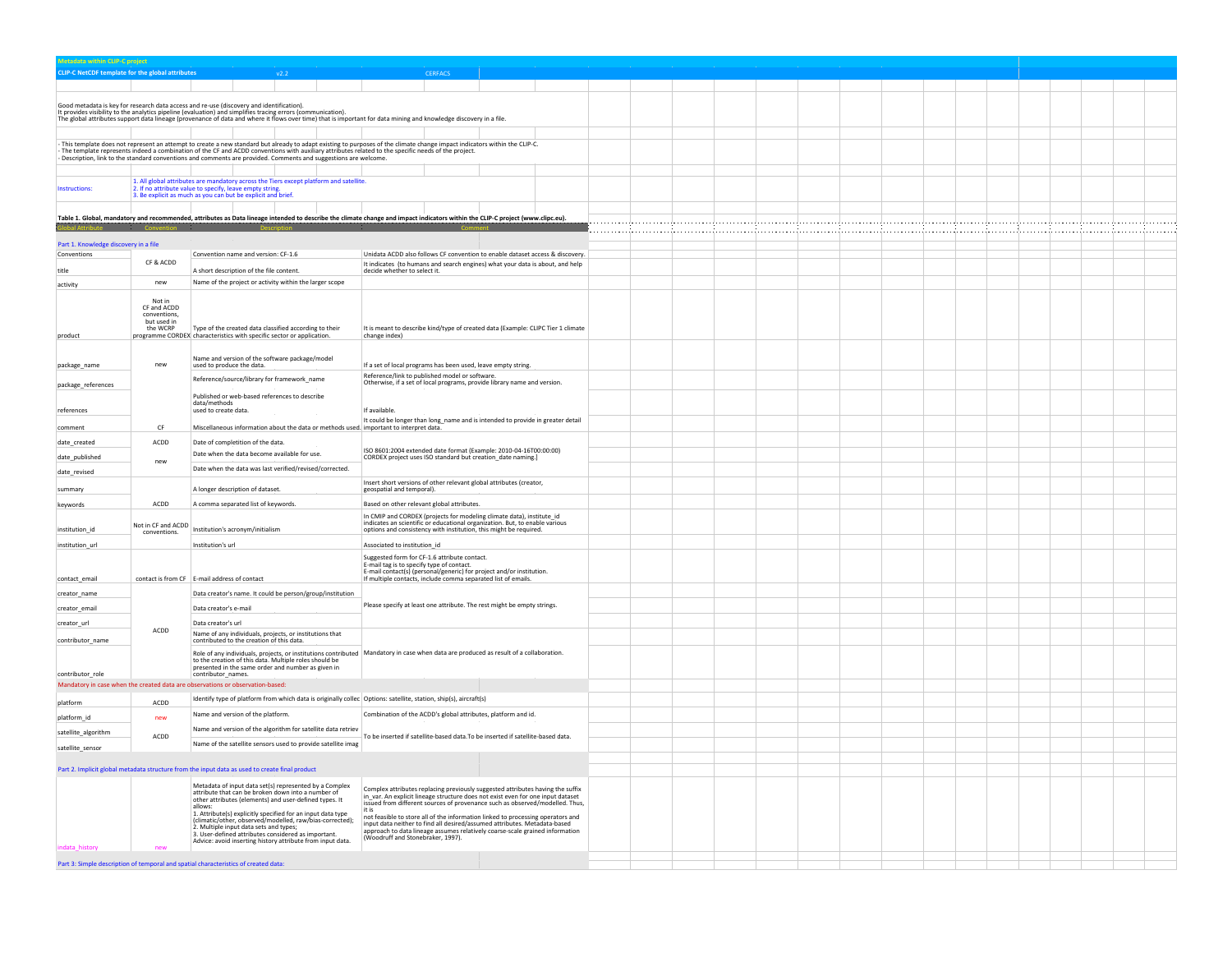| <b>CLIP-C</b> projec                             |                             |                                                                                                                                                                                                                                                                       |                                                                                                                                                                                |  |  |  |   |   |  |  |
|--------------------------------------------------|-----------------------------|-----------------------------------------------------------------------------------------------------------------------------------------------------------------------------------------------------------------------------------------------------------------------|--------------------------------------------------------------------------------------------------------------------------------------------------------------------------------|--|--|--|---|---|--|--|
| CLIP-C NetCDF template for the global attributes |                             |                                                                                                                                                                                                                                                                       | CERFACS                                                                                                                                                                        |  |  |  |   |   |  |  |
|                                                  |                             |                                                                                                                                                                                                                                                                       |                                                                                                                                                                                |  |  |  |   |   |  |  |
|                                                  |                             | Good metadata is key for research data access and re-use (discovery and identification).                                                                                                                                                                              |                                                                                                                                                                                |  |  |  |   |   |  |  |
|                                                  |                             | It provides visibility to the analytics pipeline (evaluation) and simplifies tracing errors (communication).<br>The global attributes support data lineage (provenance of data and where it flows over time) that is important fo                                     |                                                                                                                                                                                |  |  |  |   |   |  |  |
|                                                  |                             |                                                                                                                                                                                                                                                                       |                                                                                                                                                                                |  |  |  |   |   |  |  |
|                                                  |                             |                                                                                                                                                                                                                                                                       | This template does not represent an attempt to create a new standard but already to adapt existing to purposes of the climate change impact indicators within the CLIP-C.      |  |  |  |   |   |  |  |
|                                                  |                             | The template represents indeed a combination of the CF and ACDD conventions with auxiliary attributes related to the specific needs of the project.<br>Description, link to the standard conventions and comments are provided. Comments and suggestions are welcome. |                                                                                                                                                                                |  |  |  |   |   |  |  |
|                                                  |                             |                                                                                                                                                                                                                                                                       |                                                                                                                                                                                |  |  |  |   |   |  |  |
|                                                  |                             | 1. All global attributes are mandatory across the Tiers except platform and satellite.                                                                                                                                                                                |                                                                                                                                                                                |  |  |  |   |   |  |  |
| <b>Instructions:</b>                             |                             | 2. If no attribute value to specify, leave empty string.<br>3. Be explicit as much as you can but be explicit and brief.                                                                                                                                              |                                                                                                                                                                                |  |  |  |   |   |  |  |
|                                                  |                             |                                                                                                                                                                                                                                                                       |                                                                                                                                                                                |  |  |  |   |   |  |  |
|                                                  |                             |                                                                                                                                                                                                                                                                       | Table 1. Global, mandatory and recommended, attributes as Data lineage intended to describe the climate change and impact indicators within the CLIP-C project (www.clipc.eu). |  |  |  |   |   |  |  |
|                                                  |                             |                                                                                                                                                                                                                                                                       |                                                                                                                                                                                |  |  |  | . | . |  |  |
| Part 1. Knowledge discovery in a file            |                             |                                                                                                                                                                                                                                                                       |                                                                                                                                                                                |  |  |  |   |   |  |  |
| Conventions                                      | CF & ACDD                   | Convention name and version: CF-1.6                                                                                                                                                                                                                                   | Unidata ACDD also follows CF convention to enable dataset access & discovery.<br>It indicates (to humans and search engines) what your data is about, and help                 |  |  |  |   |   |  |  |
| title                                            |                             | A short description of the file content.                                                                                                                                                                                                                              | decide whether to select it.                                                                                                                                                   |  |  |  |   |   |  |  |
| activity                                         | new                         | Name of the project or activity within the larger scope                                                                                                                                                                                                               |                                                                                                                                                                                |  |  |  |   |   |  |  |
|                                                  | Not in                      |                                                                                                                                                                                                                                                                       |                                                                                                                                                                                |  |  |  |   |   |  |  |
|                                                  | CF and ACDD<br>conventions, |                                                                                                                                                                                                                                                                       |                                                                                                                                                                                |  |  |  |   |   |  |  |
|                                                  | but used in<br>the WCRP     | Type of the created data classified according to their                                                                                                                                                                                                                | It is meant to describe kind/type of created data (Example: CLIPC Tier 1 climate                                                                                               |  |  |  |   |   |  |  |
| product                                          |                             | programme CORDEX characteristics with specific sector or application.                                                                                                                                                                                                 | change index)                                                                                                                                                                  |  |  |  |   |   |  |  |
|                                                  |                             | Name and version of the software package/model                                                                                                                                                                                                                        |                                                                                                                                                                                |  |  |  |   |   |  |  |
| package_name                                     | new                         | used to produce the data.                                                                                                                                                                                                                                             | If a set of local programs has been used, leave empty string.                                                                                                                  |  |  |  |   |   |  |  |
|                                                  |                             | Reference/source/library for framework_name                                                                                                                                                                                                                           | Reference/link to published model or software<br>Otherwise, if a set of local programs, provide library name and version.                                                      |  |  |  |   |   |  |  |
| package_references                               |                             | Published or web-based references to describe                                                                                                                                                                                                                         |                                                                                                                                                                                |  |  |  |   |   |  |  |
| references                                       |                             | data/methods<br>used to create data.                                                                                                                                                                                                                                  | If available.                                                                                                                                                                  |  |  |  |   |   |  |  |
|                                                  |                             |                                                                                                                                                                                                                                                                       | It could be longer than long_name and is intended to provide in greater detail                                                                                                 |  |  |  |   |   |  |  |
| comment                                          | CF.                         | Miscellaneous information about the data or methods used. important to interpret data.                                                                                                                                                                                |                                                                                                                                                                                |  |  |  |   |   |  |  |
| date created                                     | $\mathsf{ACDD}$             | Date of completition of the data.                                                                                                                                                                                                                                     | ISO 8601:2004 extended date format (Example: 2010-04-16T00:00:00)                                                                                                              |  |  |  |   |   |  |  |
| date_published                                   | new                         | Date when the data become available for use.                                                                                                                                                                                                                          | CORDEX project uses ISO standard but creation_date naming.]                                                                                                                    |  |  |  |   |   |  |  |
| date_revised                                     |                             | Date when the data was last verified/revised/corrected.                                                                                                                                                                                                               |                                                                                                                                                                                |  |  |  |   |   |  |  |
| summary                                          |                             | A longer description of dataset                                                                                                                                                                                                                                       | Insert short versions of other relevant global attributes (creator,<br>geospatial and temporal).                                                                               |  |  |  |   |   |  |  |
|                                                  |                             |                                                                                                                                                                                                                                                                       |                                                                                                                                                                                |  |  |  |   |   |  |  |
| keywords                                         | $\mathsf{ACDD}$             | A comma separated list of keywords.                                                                                                                                                                                                                                   | Based on other relevant global attributes.<br>In CMIP and CORDEX (projects for modeling climate data), institute_id                                                            |  |  |  |   |   |  |  |
| institution id                                   | Not in CF and ACDD          | Institution's acronym/initialism                                                                                                                                                                                                                                      | indicates an scientific or educational organization. But, to enable various<br>options and consistency with institution, this might be required.                               |  |  |  |   |   |  |  |
|                                                  | conventions.                |                                                                                                                                                                                                                                                                       |                                                                                                                                                                                |  |  |  |   |   |  |  |
| institution_url                                  |                             | Institution's url                                                                                                                                                                                                                                                     | Associated to institution_id                                                                                                                                                   |  |  |  |   |   |  |  |
|                                                  |                             |                                                                                                                                                                                                                                                                       | Suggested form for CF-1.6 attribute contact.<br>E-mail tag is to specify type of contact.                                                                                      |  |  |  |   |   |  |  |
| contact_email                                    |                             | contact is from CF E-mail address of contact                                                                                                                                                                                                                          | E-mail contact(s) (personal/generic) for project and/or institution.<br>If multiple contacts, include comma separated list of emails.                                          |  |  |  |   |   |  |  |
| creator_name                                     |                             | Data creator's name. It could be person/group/institution                                                                                                                                                                                                             |                                                                                                                                                                                |  |  |  |   |   |  |  |
| creator email                                    |                             | Data creator's e-mail                                                                                                                                                                                                                                                 | Please specify at least one attribute. The rest might be empty strings.                                                                                                        |  |  |  |   |   |  |  |
|                                                  |                             |                                                                                                                                                                                                                                                                       |                                                                                                                                                                                |  |  |  |   |   |  |  |
| creator_url                                      | ACDD                        | Data creator's url<br>Name of any individuals, projects, or institutions that                                                                                                                                                                                         |                                                                                                                                                                                |  |  |  |   |   |  |  |
| contributor name                                 |                             | contributed to the creation of this data.                                                                                                                                                                                                                             |                                                                                                                                                                                |  |  |  |   |   |  |  |
|                                                  |                             | to the creation of this data. Multiple roles should be                                                                                                                                                                                                                | Role of any individuals, projects, or institutions contributed   Mandatory in case when data are produced as result of a collaboration.                                        |  |  |  |   |   |  |  |
| contributor_role                                 |                             | presented in the same order and number as given in<br>contributor names.                                                                                                                                                                                              |                                                                                                                                                                                |  |  |  |   |   |  |  |
|                                                  |                             | Mandatory in case when the created data are observations or observation-based:                                                                                                                                                                                        |                                                                                                                                                                                |  |  |  |   |   |  |  |
| platform                                         | ACDD                        | Identify type of platform from which data is originally collec Options: satellite, station, ship(s), aircraft(s)                                                                                                                                                      |                                                                                                                                                                                |  |  |  |   |   |  |  |
|                                                  |                             | Name and version of the platform.                                                                                                                                                                                                                                     | Combination of the ACDD's global attributes, platform and id.                                                                                                                  |  |  |  |   |   |  |  |
| platform_id                                      | new                         | Name and version of the algorithm for satellite data retriev                                                                                                                                                                                                          |                                                                                                                                                                                |  |  |  |   |   |  |  |
| satellite_algorithm                              | ACDD                        | Name of the satellite sensors used to provide satellite imag                                                                                                                                                                                                          | To be inserted if satellite-based data. To be inserted if satellite-based data.                                                                                                |  |  |  |   |   |  |  |
| satellite_sensor                                 |                             |                                                                                                                                                                                                                                                                       |                                                                                                                                                                                |  |  |  |   |   |  |  |
|                                                  |                             |                                                                                                                                                                                                                                                                       |                                                                                                                                                                                |  |  |  |   |   |  |  |
|                                                  |                             | Part 2. Implicit global metadata structure from the input data as used to create final product                                                                                                                                                                        |                                                                                                                                                                                |  |  |  |   |   |  |  |
|                                                  |                             | Metadata of input data set(s) represented by a Complex<br>attribute that can be broken down into a number of                                                                                                                                                          | Complex attributes replacing previously suggested attributes having the suffix                                                                                                 |  |  |  |   |   |  |  |
|                                                  |                             | other attributes (elements) and user-defined types. It<br>allows:                                                                                                                                                                                                     | in_var. An explicit lineage structure does not exist even for one input dataset<br>issued from different sources of provenance such as observed/modelled. Thus,<br>it is       |  |  |  |   |   |  |  |
|                                                  |                             | 1. Attribute(s) explicitly specified for an input data type<br>(climatic/other, observed/modelled, raw/bias-corrected);                                                                                                                                               | not feasible to store all of the information linked to processing operators and                                                                                                |  |  |  |   |   |  |  |
|                                                  |                             | 2. Multiple input data sets and types;<br>3. User-defined attributes considered as important.                                                                                                                                                                         | input data neither to find all desired/assumed attributes. Metadata-based<br>approach to data lineage assumes relatively coarse-scale grained information                      |  |  |  |   |   |  |  |
| <b>ndata</b> histor                              |                             | Advice: avoid inserting history attribute from input data.                                                                                                                                                                                                            | (Woodruff and Stonebraker, 1997).                                                                                                                                              |  |  |  |   |   |  |  |
|                                                  |                             |                                                                                                                                                                                                                                                                       |                                                                                                                                                                                |  |  |  |   |   |  |  |
|                                                  |                             | Part 3: Simple description of temporal and spatial characteristics of created data:                                                                                                                                                                                   |                                                                                                                                                                                |  |  |  |   |   |  |  |